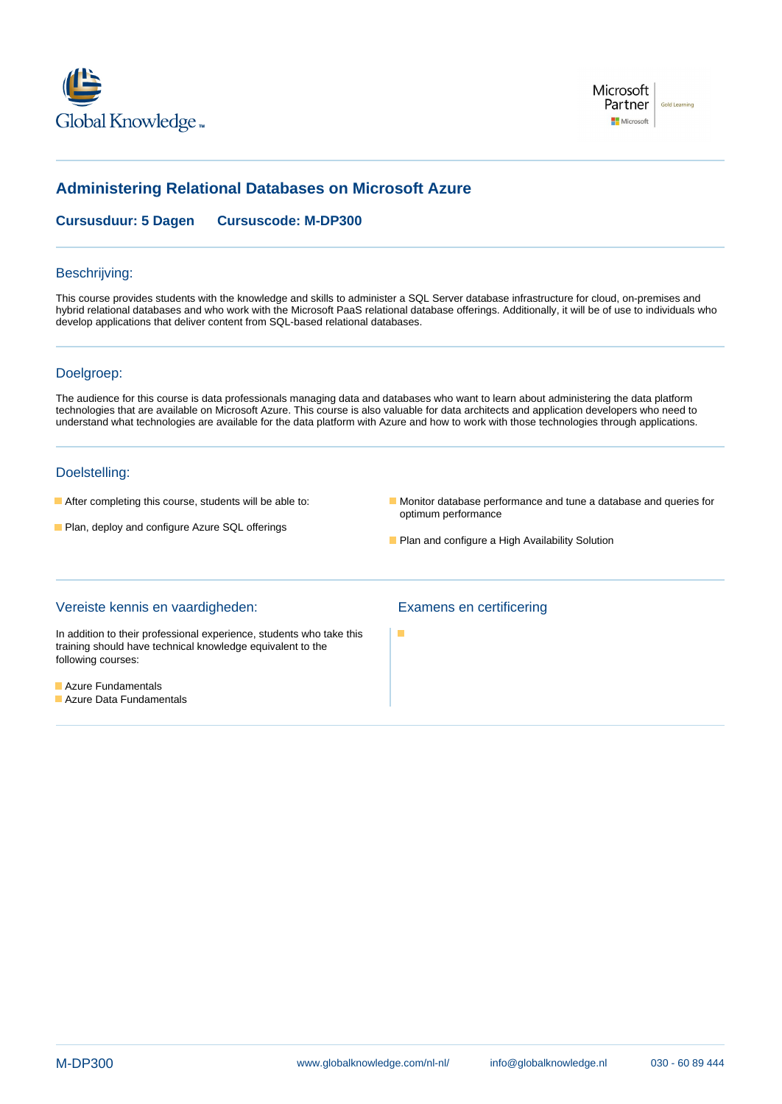



# **Administering Relational Databases on Microsoft Azure**

**Cursusduur: 5 Dagen Cursuscode: M-DP300**

### Beschrijving:

This course provides students with the knowledge and skills to administer a SQL Server database infrastructure for cloud, on-premises and hybrid relational databases and who work with the Microsoft PaaS relational database offerings. Additionally, it will be of use to individuals who develop applications that deliver content from SQL-based relational databases.

## Doelgroep:

The audience for this course is data professionals managing data and databases who want to learn about administering the data platform technologies that are available on Microsoft Azure. This course is also valuable for data architects and application developers who need to understand what technologies are available for the data platform with Azure and how to work with those technologies through applications.

### Doelstelling:

- 
- **Plan, deploy and configure Azure SQL offerings**
- After completing this course, students will be able to: Monitor database performance and tune a database and queries for optimum performance
	- **Plan and configure a High Availability Solution**

#### Vereiste kennis en vaardigheden: Examens en certificering

In addition to their professional experience, students who take this training should have technical knowledge equivalent to the following courses:

- **Azure Fundamentals**
- **Azure Data Fundamentals**

F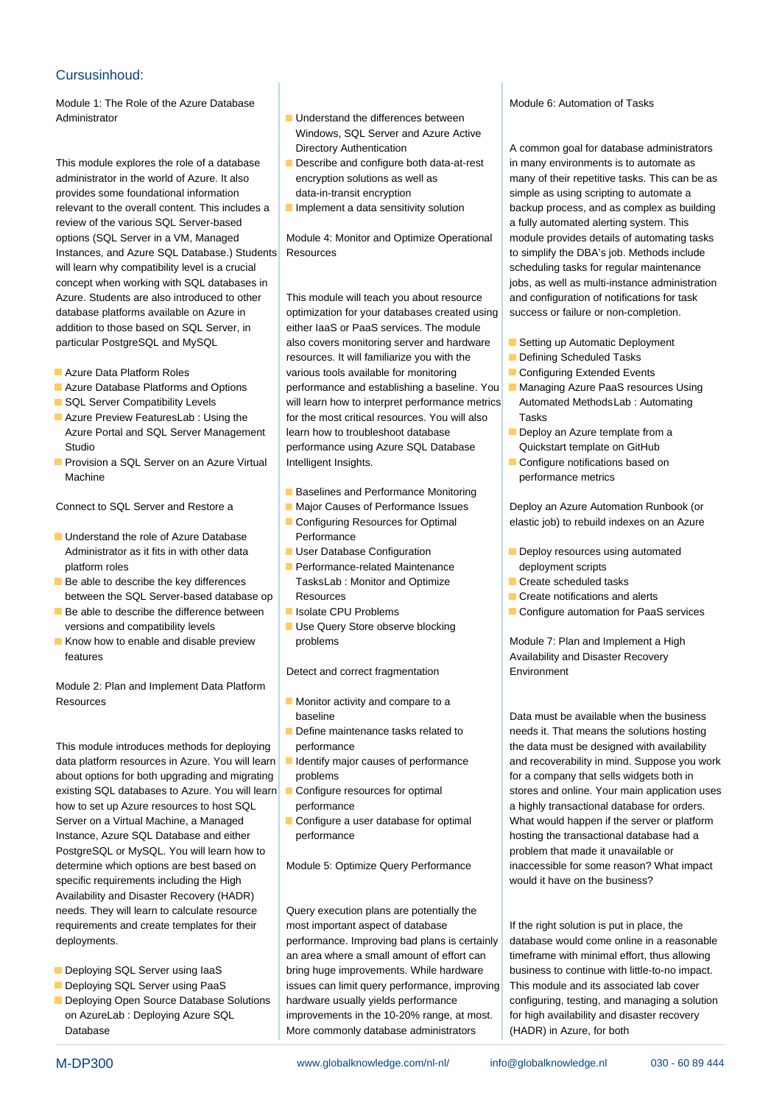### Cursusinhoud:

Module 1: The Role of the Azure Database Module 6: Automation of Tasks Administrator and Understand the differences between

administrator in the world of Azure. It also encryption solutions as well as many of their repetitive tasks. This can be as provides some foundational information data-in-transit encryption simple as using scripting to automate a relevant to the overall content. This includes a Implement a data sensitivity solution backup process, and as complex as building review of the various SQL Server-based and the various SQL Server-based a fully automated alerting system. This options (SQL Server in a VM, Managed Module 4: Monitor and Optimize Operational module provides details of automating tasks Instances, and Azure SQL Database.) Students Resources to simplify the DBA's job. Methods include will learn why compatibility level is a crucial line scheduling tasks for regular maintenance concept when working with SQL databases in jobs, as well as multi-instance administration Azure. Students are also introduced to other This module will teach you about resource and configuration of notifications for task database platforms available on Azure in optimization for your databases created using success or failure or non-completion. addition to those based on SQL Server, in either laaS or PaaS services. The module particular PostgreSQL and MySQL also covers monitoring server and hardware Setting up Automatic Deployment

- 
- 
- 
- 
- Machine line performance metrics and the performance metrics of the performance metrics

- Understand the role of Azure Database Performance Administrator as it fits in with other data User Database Configuration **Deploy resources using automated** platform roles **Performance-related Maintenance** deployment scripts
- Be able to describe the key differences TasksLab : Monitor and Optimize Create scheduled tasks between the SQL Server-based database op Resources Create Create notifications and alerts
- **Be able to describe the difference between** Isolate CPU Problems **Configure automation for PaaS services** versions and compatibility levels **USE** Use Query Store observe blocking
- Know how to enable and disable preview problems  $\blacksquare$  Know how to enable and implement a High features **Availability and Disaster Recovery Availability and Disaster Recovery**

Module 2: Plan and Implement Data Platform Resources **Monitor activity and compare to a** 

data platform resources in Azure. You will learn I dentify major causes of performance and recoverability in mind. Suppose you work about options for both upgrading and migrating problems for a company that sells widgets both in existing SQL databases to Azure. You will learn Configure resources for optimal stores and online. Your main application uses how to set up Azure resources to host SQL performance between a highly transactional database for orders. Server on a Virtual Machine, a Managed Configure a user database for optimal What would happen if the server or platform Instance, Azure SQL Database and either performance hosting the transactional database had a PostgreSQL or MySQL. You will learn how to problem that made it unavailable or determine which options are best based on Module 5: Optimize Query Performance inaccessible for some reason? What impact specific requirements including the High line would it have on the business? Availability and Disaster Recovery (HADR) needs. They will learn to calculate resource <br>Query execution plans are potentially the requirements and create templates for their most important aspect of database If the right solution is put in place, the

- 
- 
- 
- Windows, SQL Server and Azure Active
- This module explores the role of a database  $\Box$  Describe and configure both data-at-rest in many environments is to automate as
	-

resources. It will familiarize you with the Defining Scheduled Tasks **Azure Data Platform Roles** various tools available for monitoring **Configuring Extended Events** Azure Database Platforms and Options performance and establishing a baseline. You Managing Azure PaaS resources Using SQL Server Compatibility Levels will learn how to interpret performance metrics Automated MethodsLab : Automating Azure Preview FeaturesLab : Using the  $\vert$  for the most critical resources. You will also  $\vert$  Tasks Azure Portal and SQL Server Management | learn how to troubleshoot database | Deploy an Azure template from a Studio **Example 20 Studio** performance using Azure SQL Database Quickstart template on GitHub **Provision a SQL Server on an Azure Virtual | Intelligent Insights.** Configure notifications based on

- **Baselines and Performance Monitoring**
- 
- 
- 
- 
- 
- 

Detect and correct fragmentation **Environment** 

- 
- 
- 
- 
- 

deployments. performance. Improving bad plans is certainly database would come online in a reasonable an area where a small amount of effort can  $\parallel$  timeframe with minimal effort, thus allowing Deploying SQL Server using IaaS bring huge improvements. While hardware business to continue with little-to-no impact. Deploying SQL Server using PaaS issues can limit query performance, improving This module and its associated lab cover Deploying Open Source Database Solutions hardware usually yields performance configuring, testing, and managing a solution on AzureLab : Deploying Azure SQL improvements in the 10-20% range, at most. for high availability and disaster recovery Database **More commonly database administrators** (HADR) in Azure, for both

Directory Authentication A common goal for database administrators

- 
- 
- 
- 
- 
- 

Connect to SQL Server and Restore a Major Causes of Performance Issues Deploy an Azure Automation Runbook (or ■ Configuring Resources for Optimal elastic job) to rebuild indexes on an Azure

- 
- 
- 
- 

**baseline baseline baseline Data must be available when the business** Define maintenance tasks related to needs it. That means the solutions hosting This module introduces methods for deploying performance being performance the data must be designed with availability